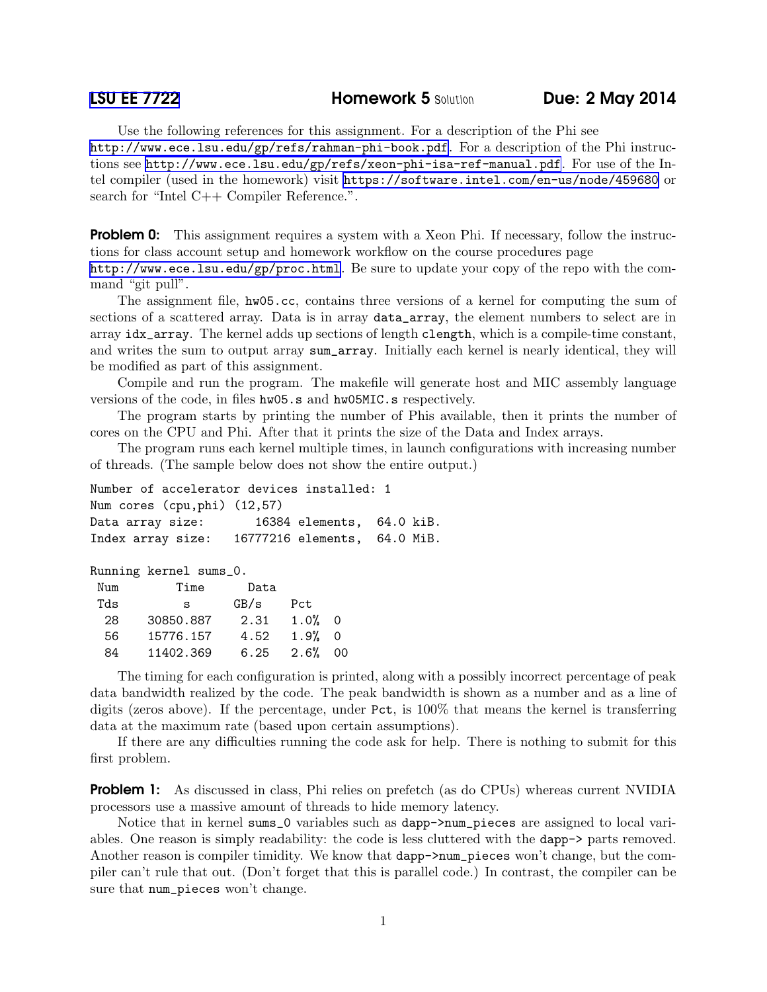Use the following references for this assignment. For a description of the Phi see <http://www.ece.lsu.edu/gp/refs/rahman-phi-book.pdf>. For a description of the Phi instructions see <http://www.ece.lsu.edu/gp/refs/xeon-phi-isa-ref-manual.pdf>. For use of the Intel compiler (used in the homework) visit <https://software.intel.com/en-us/node/459680> or search for "Intel C++ Compiler Reference.".

**Problem 0:** This assignment requires a system with a Xeon Phi. If necessary, follow the instructions for class account setup and homework workflow on the course procedures page <http://www.ece.lsu.edu/gp/proc.html>. Be sure to update your copy of the repo with the command "git pull".

The assignment file, hw05.cc, contains three versions of a kernel for computing the sum of sections of a scattered array. Data is in array data\_array, the element numbers to select are in array idx\_array. The kernel adds up sections of length clength, which is a compile-time constant, and writes the sum to output array sum\_array. Initially each kernel is nearly identical, they will be modified as part of this assignment.

Compile and run the program. The makefile will generate host and MIC assembly language versions of the code, in files hw05.s and hw05MIC.s respectively.

The program starts by printing the number of Phis available, then it prints the number of cores on the CPU and Phi. After that it prints the size of the Data and Index arrays.

The program runs each kernel multiple times, in launch configurations with increasing number of threads. (The sample below does not show the entire output.)

| Number of accelerator devices installed: 1     |                           |  |
|------------------------------------------------|---------------------------|--|
| Num cores (cpu, phi) (12,57)                   |                           |  |
| Data array size:                               | 16384 elements, 64.0 kiB. |  |
| Index array size: 16777216 elements, 64.0 MiB. |                           |  |

Running kernel sums\_0.

| Num | Time      | Data |      |          |
|-----|-----------|------|------|----------|
| Tds | s         | GB/s | Pct  |          |
| 28  | 30850.887 | 2.31 | 1.0% | $\Omega$ |
| 56  | 15776.157 | 4.52 | 1.9% | $\Omega$ |
| 84  | 11402.369 | 6.25 | 2.6% | ΩO       |

The timing for each configuration is printed, along with a possibly incorrect percentage of peak data bandwidth realized by the code. The peak bandwidth is shown as a number and as a line of digits (zeros above). If the percentage, under Pct, is 100% that means the kernel is transferring data at the maximum rate (based upon certain assumptions).

If there are any difficulties running the code ask for help. There is nothing to submit for this first problem.

**Problem 1:** As discussed in class, Phi relies on prefetch (as do CPUs) whereas current NVIDIA processors use a massive amount of threads to hide memory latency.

Notice that in kernel sums\_0 variables such as dapp->num\_pieces are assigned to local variables. One reason is simply readability: the code is less cluttered with the dapp-> parts removed. Another reason is compiler timidity. We know that dapp->num\_pieces won't change, but the compiler can't rule that out. (Don't forget that this is parallel code.) In contrast, the compiler can be sure that num\_pieces won't change.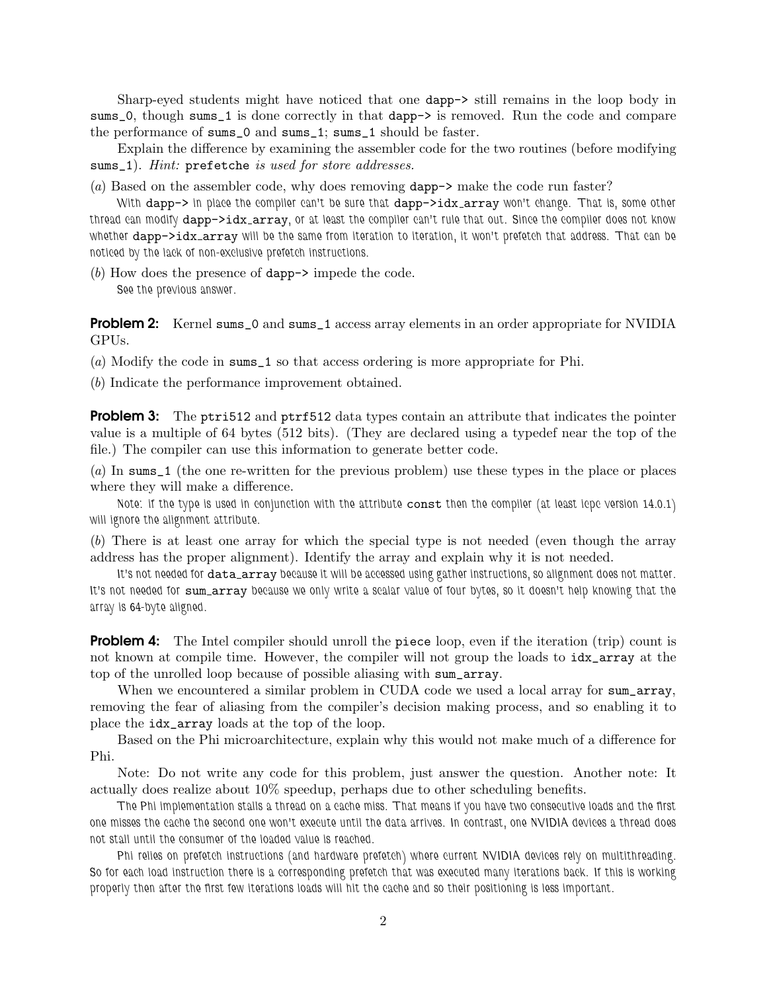Sharp-eyed students might have noticed that one dapp-> still remains in the loop body in sums\_0, though sums\_1 is done correctly in that dapp-> is removed. Run the code and compare the performance of sums\_0 and sums\_1; sums\_1 should be faster.

Explain the difference by examining the assembler code for the two routines (before modifying sums\_1). *Hint:* prefetche *is used for store addresses.*

(*a*) Based on the assembler code, why does removing dapp-> make the code run faster?

*With* dapp-> *in place the compiler can't be sure that* dapp->idx array *won't change. That is, some other thread can modify* dapp->idx array*, or at least the compiler can't rule that out. Since the compiler does not know whether* dapp->idx array *will be the same from iteration to iteration, it won't prefetch that address. That can be noticed by the lack of non-exclusive prefetch instructions.*

(*b*) How does the presence of dapp-> impede the code. *See the previous answer.*

**Problem 2:** Kernel sums\_0 and sums\_1 access array elements in an order appropriate for NVIDIA GPUs.

(*a*) Modify the code in sums\_1 so that access ordering is more appropriate for Phi.

(*b*) Indicate the performance improvement obtained.

**Problem 3:** The ptri512 and ptrf512 data types contain an attribute that indicates the pointer value is a multiple of 64 bytes (512 bits). (They are declared using a typedef near the top of the file.) The compiler can use this information to generate better code.

(*a*) In sums\_1 (the one re-written for the previous problem) use these types in the place or places where they will make a difference.

*Note: if the type is used in conjunction with the attribute* const *then the compiler (at least icpc version 14.0.1) will ignore the alignment attribute.*

(*b*) There is at least one array for which the special type is not needed (even though the array address has the proper alignment). Identify the array and explain why it is not needed.

It's not needed for data\_array because it will be accessed using gather instructions, so alignment does not matter. It's not needed for sum\_array because we only write a scalar value of four bytes, so it doesn't help knowing that the *array is 64-byte aligned.*

**Problem 4:** The Intel compiler should unroll the piece loop, even if the iteration (trip) count is not known at compile time. However, the compiler will not group the loads to idx\_array at the top of the unrolled loop because of possible aliasing with sum\_array.

When we encountered a similar problem in CUDA code we used a local array for sum\_array, removing the fear of aliasing from the compiler's decision making process, and so enabling it to place the idx\_array loads at the top of the loop.

Based on the Phi microarchitecture, explain why this would not make much of a difference for Phi.

Note: Do not write any code for this problem, just answer the question. Another note: It actually does realize about 10% speedup, perhaps due to other scheduling benefits.

*The Phi implementation stalls a thread on a cache miss. That means if you have two consecutive loads and the first one misses the cache the second one won't execute until the data arrives. In contrast, one NVIDIA devices a thread does not stall until the consumer of the loaded value is reached.*

*Phi relies on prefetch instructions (and hardware prefetch) where current NVIDIA devices rely on multithreading. So for each load instruction there is a corresponding prefetch that was executed many iterations back. If this is working properly then after the first few iterations loads will hit the cache and so their positioning is less important.*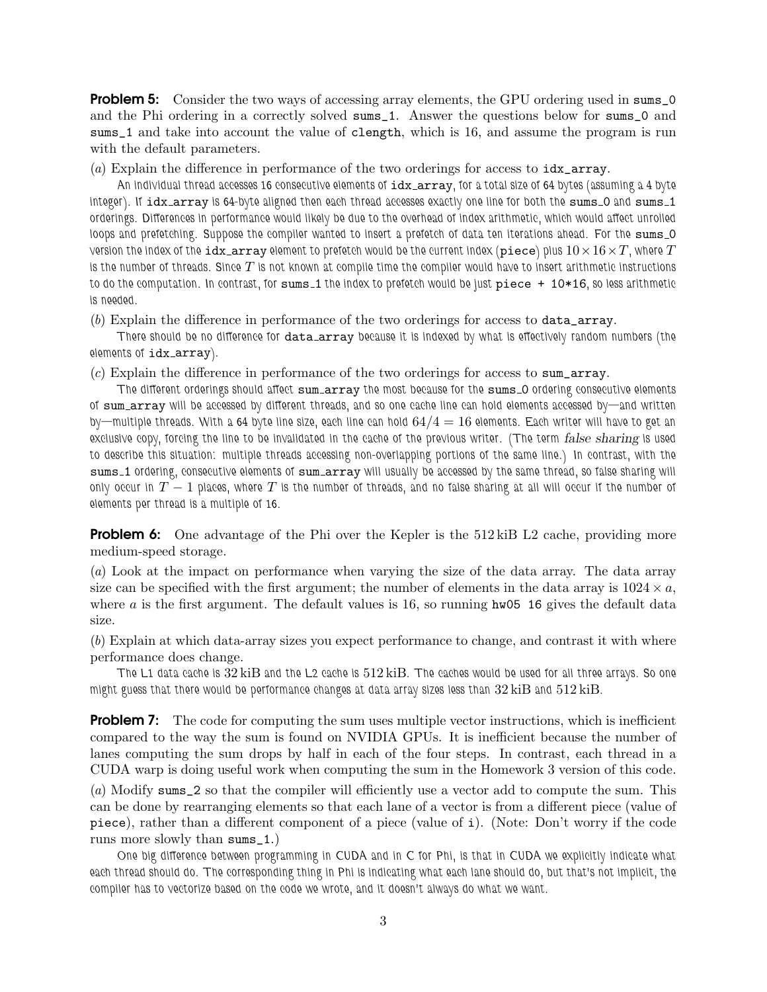**Problem 5:** Consider the two ways of accessing array elements, the GPU ordering used in sums\_0 and the Phi ordering in a correctly solved sums\_1. Answer the questions below for sums\_0 and sums\_1 and take into account the value of clength, which is 16, and assume the program is run with the default parameters.

(*a*) Explain the difference in performance of the two orderings for access to idx\_array.

*An individual thread accesses 16 consecutive elements of* idx array*, for a total size of 64 bytes (assuming a 4 byte integer). If*  $idx = array$  *is 64-byte aligned then each thread accesses exactly one line for both the* sums 0 and sums 1 *orderings. Differences in performance would likely be due to the overhead of index arithmetic, which would affect unrolled loops and prefetching. Suppose the compiler wanted to insert a prefetch of data ten iterations ahead. For the sums* 0 *v*ersion the index of the  $\mathtt{idx\_array}$  element to prefetch would be the current index ( $\mathtt{piece}$ ) plus  $10\times16\times T$ , where  $T$ *is the number of threads. Since* T *is not known at compile time the compiler would have to insert arithmetic instructions to do the computation. In contrast, for* sums 1 *the index to prefetch would be just* piece + 10\*16*, so less arithmetic is needed.*

(*b*) Explain the difference in performance of the two orderings for access to data\_array.

*There should be no difference for* data array *because it is indexed by what is effectively random numbers (the elements of* idx array*).*

(*c*) Explain the difference in performance of the two orderings for access to sum\_array.

*The different orderings should affect* sum array *the most because for the* sums 0 *ordering consecutive elements of* sum array *will be accessed by different threads, and so one cache line can hold elements accessed by—and written by—multiple threads. With a 64 byte line size, each line can hold* 64/4 = 16 *elements. Each writer will have to get an exclusive copy, forcing the line to be invalidated in the cache of the previous writer. (The term* false sharing *is used to describe this situation: multiple threads accessing non-overlapping portions of the same line.) In contrast, with the* sums 1 *ordering, consecutive elements of* sum array *will usually be accessed by the same thread, so false sharing will only occur in* T − 1 *places, where* T *is the number of threads, and no false sharing at all will occur if the number of elements per thread is a multiple of 16.*

**Problem 6:** One advantage of the Phi over the Kepler is the 512 kiB L2 cache, providing more medium-speed storage.

(*a*) Look at the impact on performance when varying the size of the data array. The data array size can be specified with the first argument; the number of elements in the data array is  $1024 \times a$ , where  $\alpha$  is the first argument. The default values is 16, so running hw05 16 gives the default data size.

(*b*) Explain at which data-array sizes you expect performance to change, and contrast it with where performance does change.

*The L1 data cache is* 32 kiB *and the L2 cache is* 512 kiB*. The caches would be used for all three arrays. So one might guess that there would be performance changes at data array sizes less than* 32 kiB *and* 512 kiB*.*

**Problem 7:** The code for computing the sum uses multiple vector instructions, which is inefficient compared to the way the sum is found on NVIDIA GPUs. It is inefficient because the number of lanes computing the sum drops by half in each of the four steps. In contrast, each thread in a CUDA warp is doing useful work when computing the sum in the Homework 3 version of this code.

(*a*) Modify sums\_2 so that the compiler will efficiently use a vector add to compute the sum. This can be done by rearranging elements so that each lane of a vector is from a different piece (value of piece), rather than a different component of a piece (value of i). (Note: Don't worry if the code runs more slowly than sums\_1.)

*One big difference between programming in CUDA and in C for Phi, is that in CUDA we explicitly indicate what each thread should do. The corresponding thing in Phi is indicating what each lane should do, but that's not implicit, the compiler has to vectorize based on the code we wrote, and it doesn't always do what we want.*